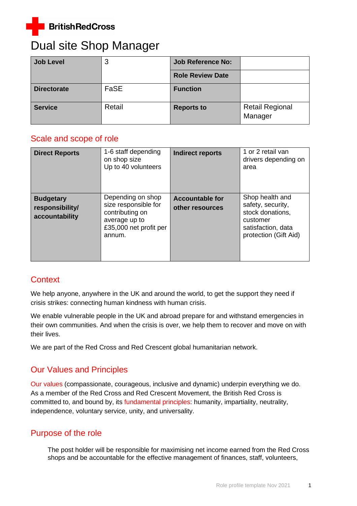

# Dual site Shop Manager

| <b>Job Level</b>   | 3      | <b>Job Reference No:</b> |                                   |
|--------------------|--------|--------------------------|-----------------------------------|
|                    |        | <b>Role Review Date</b>  |                                   |
| <b>Directorate</b> | FaSE   | <b>Function</b>          |                                   |
| <b>Service</b>     | Retail | <b>Reports to</b>        | <b>Retail Regional</b><br>Manager |

# Scale and scope of role

| <b>Direct Reports</b>                                 | 1-6 staff depending<br>on shop size<br>Up to 40 volunteers                                                        | <b>Indirect reports</b>                   | 1 or 2 retail van<br>drivers depending on<br>area                                                                   |
|-------------------------------------------------------|-------------------------------------------------------------------------------------------------------------------|-------------------------------------------|---------------------------------------------------------------------------------------------------------------------|
| <b>Budgetary</b><br>responsibility/<br>accountability | Depending on shop<br>size responsible for<br>contributing on<br>average up to<br>£35,000 net profit per<br>annum. | <b>Accountable for</b><br>other resources | Shop health and<br>safety, security,<br>stock donations,<br>customer<br>satisfaction, data<br>protection (Gift Aid) |

# **Context**

We help anyone, anywhere in the UK and around the world, to get the support they need if crisis strikes: connecting human kindness with human crisis.

We enable vulnerable people in the UK and abroad prepare for and withstand emergencies in their own communities. And when the crisis is over, we help them to recover and move on with their lives.

We are part of the Red Cross and Red Crescent global humanitarian network.

# Our Values and Principles

[Our values](http://www.redcross.org.uk/About-us/Who-we-are/Our-values) (compassionate, courageous, inclusive and dynamic) underpin everything we do. As a member of the Red Cross and Red Crescent Movement, the British Red Cross is committed to, and bound by, its [fundamental principles:](http://www.redcross.org.uk/principles) humanity, impartiality, neutrality, independence, voluntary service, unity, and universality.

# Purpose of the role

The post holder will be responsible for maximising net income earned from the Red Cross shops and be accountable for the effective management of finances, staff, volunteers,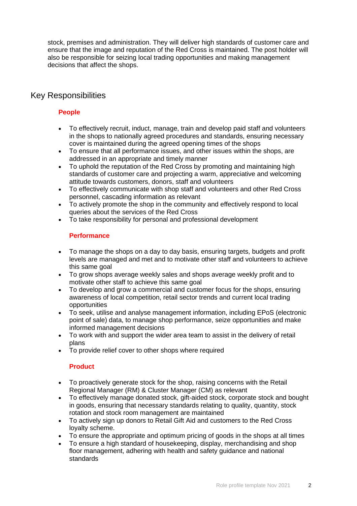stock, premises and administration. They will deliver high standards of customer care and ensure that the image and reputation of the Red Cross is maintained. The post holder will also be responsible for seizing local trading opportunities and making management decisions that affect the shops.

### Key Responsibilities

#### **People**

- To effectively recruit, induct, manage, train and develop paid staff and volunteers in the shops to nationally agreed procedures and standards, ensuring necessary cover is maintained during the agreed opening times of the shops
- To ensure that all performance issues, and other issues within the shops, are addressed in an appropriate and timely manner
- To uphold the reputation of the Red Cross by promoting and maintaining high standards of customer care and projecting a warm, appreciative and welcoming attitude towards customers, donors, staff and volunteers
- To effectively communicate with shop staff and volunteers and other Red Cross personnel, cascading information as relevant
- To actively promote the shop in the community and effectively respond to local queries about the services of the Red Cross
- To take responsibility for personal and professional development

#### **Performance**

- To manage the shops on a day to day basis, ensuring targets, budgets and profit levels are managed and met and to motivate other staff and volunteers to achieve this same goal
- To grow shops average weekly sales and shops average weekly profit and to motivate other staff to achieve this same goal
- To develop and grow a commercial and customer focus for the shops, ensuring awareness of local competition, retail sector trends and current local trading opportunities
- To seek, utilise and analyse management information, including EPoS (electronic point of sale) data, to manage shop performance, seize opportunities and make informed management decisions
- To work with and support the wider area team to assist in the delivery of retail plans
- To provide relief cover to other shops where required

#### **Product**

- To proactively generate stock for the shop, raising concerns with the Retail Regional Manager (RM) & Cluster Manager (CM) as relevant
- To effectively manage donated stock, gift-aided stock, corporate stock and bought in goods, ensuring that necessary standards relating to quality, quantity, stock rotation and stock room management are maintained
- To actively sign up donors to Retail Gift Aid and customers to the Red Cross loyalty scheme.
- To ensure the appropriate and optimum pricing of goods in the shops at all times
- To ensure a high standard of housekeeping, display, merchandising and shop floor management, adhering with health and safety guidance and national standards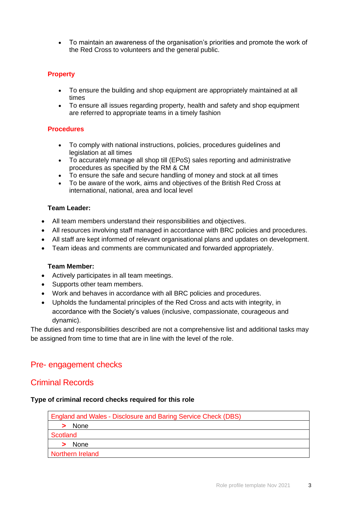• To maintain an awareness of the organisation's priorities and promote the work of the Red Cross to volunteers and the general public.

#### **Property**

- To ensure the building and shop equipment are appropriately maintained at all times
- To ensure all issues regarding property, health and safety and shop equipment are referred to appropriate teams in a timely fashion

#### **Procedures**

- To comply with national instructions, policies, procedures guidelines and legislation at all times
- To accurately manage all shop till (EPoS) sales reporting and administrative procedures as specified by the RM & CM
- To ensure the safe and secure handling of money and stock at all times
- To be aware of the work, aims and objectives of the British Red Cross at international, national, area and local level

#### **Team Leader:**

- All team members understand their responsibilities and objectives.
- All resources involving staff managed in accordance with BRC policies and procedures.
- All staff are kept informed of relevant organisational plans and updates on development.
- Team ideas and comments are communicated and forwarded appropriately.

#### **Team Member:**

- Actively participates in all team meetings.
- Supports other team members.
- Work and behaves in accordance with all BRC policies and procedures.
- Upholds the fundamental principles of the Red Cross and acts with integrity, in accordance with the Society's values (inclusive, compassionate, courageous and dynamic).

The duties and responsibilities described are not a comprehensive list and additional tasks may be assigned from time to time that are in line with the level of the role.

#### Pre- engagement checks

#### Criminal Records

#### **Type of criminal record checks required for this role**

| <b>England and Wales - Disclosure and Baring Service Check (DBS)</b> |
|----------------------------------------------------------------------|
| None                                                                 |
| Scotland                                                             |
| None                                                                 |
| Northern Ireland                                                     |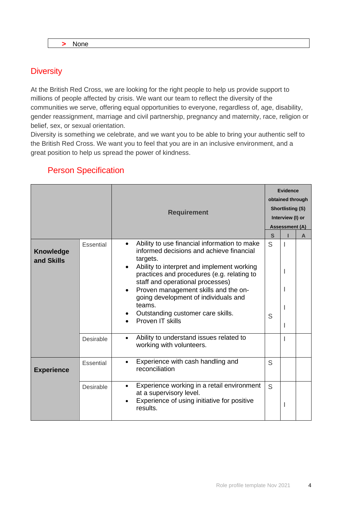# **Diversity**

At the British Red Cross, we are looking for the right people to help us provide support to millions of people affected by crisis. We want our team to reflect the diversity of the communities we serve, offering equal opportunities to everyone, regardless of, age, disability, gender reassignment, marriage and civil partnership, pregnancy and maternity, race, religion or belief, sex, or sexual orientation.

Diversity is something we celebrate, and we want you to be able to bring your authentic self to the British Red Cross. We want you to feel that you are in an inclusive environment, and a great position to help us spread the power of kindness.

|                                |           | <b>Requirement</b>                                                                                                                                                                                                                                                                                                                                                                                   |        | Evidence<br>obtained through<br><b>Shortlisting (S)</b><br>Interview (I) or<br><b>Assessment (A)</b><br>$\mathbf{s}$<br>A |  |
|--------------------------------|-----------|------------------------------------------------------------------------------------------------------------------------------------------------------------------------------------------------------------------------------------------------------------------------------------------------------------------------------------------------------------------------------------------------------|--------|---------------------------------------------------------------------------------------------------------------------------|--|
| <b>Knowledge</b><br>and Skills | Essential | Ability to use financial information to make<br>$\bullet$<br>informed decisions and achieve financial<br>targets.<br>Ability to interpret and implement working<br>practices and procedures (e.g. relating to<br>staff and operational processes)<br>Proven management skills and the on-<br>going development of individuals and<br>teams.<br>Outstanding customer care skills.<br>Proven IT skills | S<br>S | $\overline{1}$<br>ı                                                                                                       |  |
|                                | Desirable | Ability to understand issues related to<br>working with volunteers.                                                                                                                                                                                                                                                                                                                                  |        |                                                                                                                           |  |
| <b>Experience</b>              | Essential | Experience with cash handling and<br>reconciliation                                                                                                                                                                                                                                                                                                                                                  | S      |                                                                                                                           |  |
|                                | Desirable | Experience working in a retail environment<br>$\bullet$<br>at a supervisory level.<br>Experience of using initiative for positive<br>results.                                                                                                                                                                                                                                                        | S      | I                                                                                                                         |  |

## Person Specification